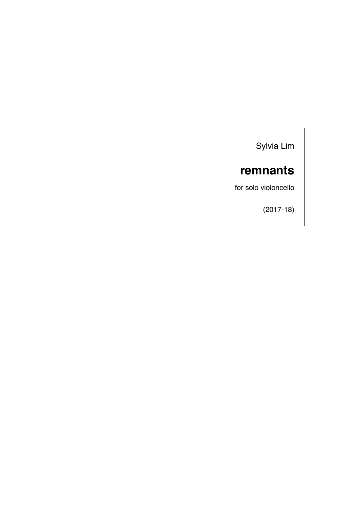Sylvia Lim

# **remnants**

for solo violoncello

(2017-18)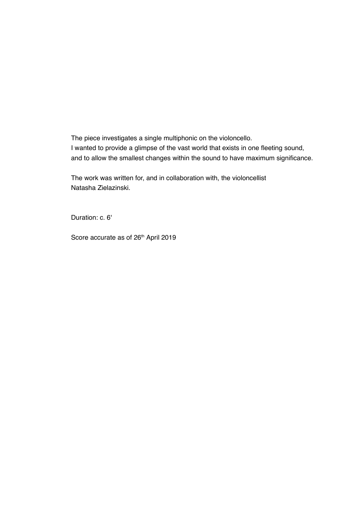The piece investigates a single multiphonic on the violoncello. I wanted to provide a glimpse of the vast world that exists in one fleeting sound, and to allow the smallest changes within the sound to have maximum significance.

The work was written for, and in collaboration with, the violoncellist Natasha Zielazinski.

Duration: c. 6'

Score accurate as of 26<sup>th</sup> April 2019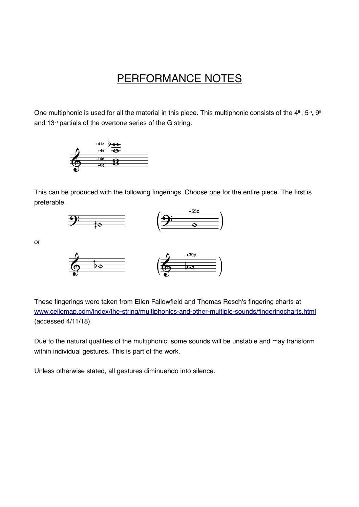## PERFORMANCE NOTES

One multiphonic is used for all the material in this piece. This multiphonic consists of the 4<sup>th</sup>, 5<sup>th</sup>, 9<sup>th</sup> and 13<sup>th</sup> partials of the overtone series of the G string:



This can be produced with the following fingerings. Choose one for the entire piece. The first is preferable.





or



These fingerings were taken from Ellen Fallowfield and Thomas Resch's fingering charts at [www.cellomap.com/index/the-string/multiphonics-and-other-multiple-sounds/fingeringcharts.html](http://www.cellomap.com/index/the-string/multiphonics-and-other-multiple-sounds/fingeringcharts.html) (accessed 4/11/18).

Due to the natural qualities of the multiphonic, some sounds will be unstable and may transform within individual gestures. This is part of the work.

Unless otherwise stated, all gestures diminuendo into silence.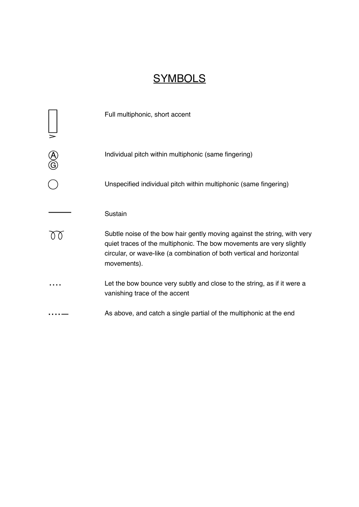# **SYMBOLS**

|          | Full multiphonic, short accent                                                                                                                                                                                                           |
|----------|------------------------------------------------------------------------------------------------------------------------------------------------------------------------------------------------------------------------------------------|
| A)<br>G) | Individual pitch within multiphonic (same fingering)                                                                                                                                                                                     |
|          | Unspecified individual pitch within multiphonic (same fingering)                                                                                                                                                                         |
|          | Sustain                                                                                                                                                                                                                                  |
|          | Subtle noise of the bow hair gently moving against the string, with very<br>quiet traces of the multiphonic. The bow movements are very slightly<br>circular, or wave-like (a combination of both vertical and horizontal<br>movements). |
|          | Let the bow bounce very subtly and close to the string, as if it were a<br>vanishing trace of the accent                                                                                                                                 |
|          | As above, and catch a single partial of the multiphonic at the end                                                                                                                                                                       |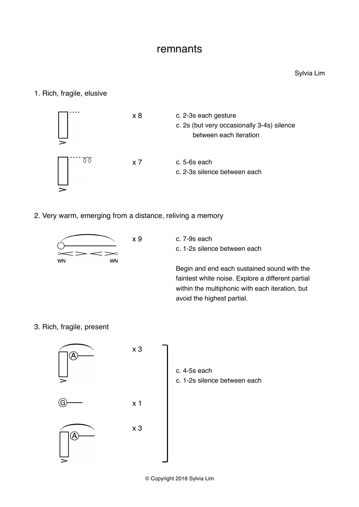### remnants

#### 1. Rich, fragile, elusive



2. Very warm, emerging from a distance, reliving a memory



x 9 c. 7-9s each c. 1-2s silence between each

> Begin and end each sustained sound with the faintest white noise. Explore a different partial within the multiphonic with each iteration, but avoid the highest partial.

3. Rich, fragile, present